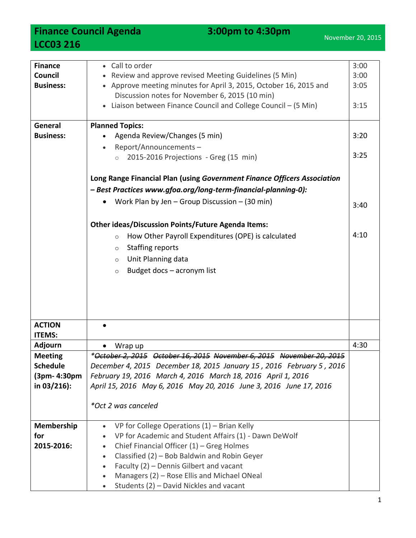**Finance Council Agenda** 3:00pm to 4:30pm **LCC03 216**

| <b>Finance</b><br>Council      | 3:00<br>• Call to order<br>Review and approve revised Meeting Guidelines (5 Min)<br>3:00                                       |      |  |  |
|--------------------------------|--------------------------------------------------------------------------------------------------------------------------------|------|--|--|
| <b>Business:</b>               | • Approve meeting minutes for April 3, 2015, October 16, 2015 and<br>Discussion notes for November 6, 2015 (10 min)            |      |  |  |
|                                | • Liaison between Finance Council and College Council - (5 Min)                                                                | 3:15 |  |  |
| General                        | <b>Planned Topics:</b>                                                                                                         |      |  |  |
| <b>Business:</b>               | Agenda Review/Changes (5 min)                                                                                                  | 3:20 |  |  |
|                                | Report/Announcements-<br>2015-2016 Projections - Greg (15 min)<br>$\circ$                                                      | 3:25 |  |  |
|                                | Long Range Financial Plan (using Government Finance Officers Association                                                       |      |  |  |
|                                | - Best Practices www.gfoa.org/long-term-financial-planning-0):                                                                 |      |  |  |
|                                | Work Plan by Jen - Group Discussion - (30 min)                                                                                 | 3:40 |  |  |
|                                | <b>Other ideas/Discussion Points/Future Agenda Items:</b>                                                                      |      |  |  |
|                                | How Other Payroll Expenditures (OPE) is calculated<br>$\circ$                                                                  | 4:10 |  |  |
|                                | <b>Staffing reports</b><br>$\circ$                                                                                             |      |  |  |
|                                | Unit Planning data<br>$\circ$                                                                                                  |      |  |  |
|                                | Budget docs - acronym list<br>$\circ$                                                                                          |      |  |  |
|                                |                                                                                                                                |      |  |  |
|                                |                                                                                                                                |      |  |  |
|                                |                                                                                                                                |      |  |  |
|                                |                                                                                                                                |      |  |  |
| <b>ACTION</b><br><b>ITEMS:</b> |                                                                                                                                |      |  |  |
| <b>Adjourn</b>                 | Wrap up                                                                                                                        | 4:30 |  |  |
| <b>Meeting</b>                 | *October 2, 2015 October 16, 2015 November 6, 2015 November 20, 2015                                                           |      |  |  |
| <b>Schedule</b>                | December 4, 2015 December 18, 2015 January 15, 2016 February 5, 2016                                                           |      |  |  |
| (3pm- 4:30pm                   | February 19, 2016 March 4, 2016 March 18, 2016 April 1, 2016                                                                   |      |  |  |
| in $03/216$ :                  | April 15, 2016 May 6, 2016 May 20, 2016 June 3, 2016 June 17, 2016                                                             |      |  |  |
|                                | *Oct 2 was canceled                                                                                                            |      |  |  |
|                                |                                                                                                                                |      |  |  |
| Membership<br>for              | VP for College Operations $(1)$ – Brian Kelly<br>$\bullet$                                                                     |      |  |  |
| 2015-2016:                     | VP for Academic and Student Affairs (1) - Dawn DeWolf<br>$\bullet$<br>Chief Financial Officer $(1)$ – Greg Holmes<br>$\bullet$ |      |  |  |
|                                | Classified (2) - Bob Baldwin and Robin Geyer<br>$\bullet$                                                                      |      |  |  |
|                                | Faculty (2) - Dennis Gilbert and vacant<br>$\bullet$                                                                           |      |  |  |
|                                | Managers (2) - Rose Ellis and Michael ONeal<br>$\bullet$                                                                       |      |  |  |
|                                | Students (2) - David Nickles and vacant                                                                                        |      |  |  |